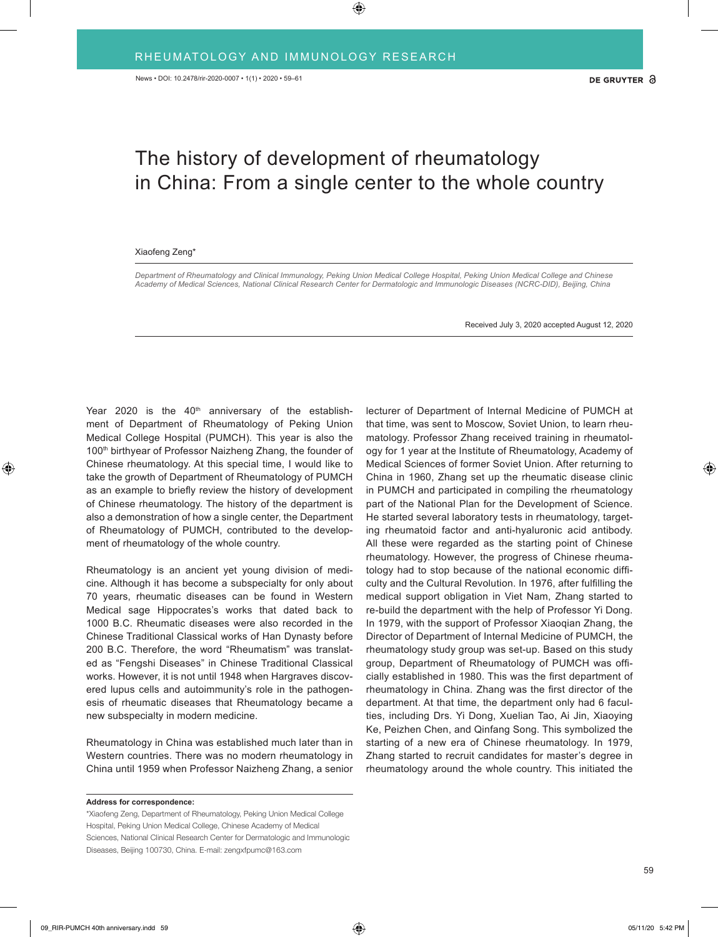## The history of development of rheumatology in China: From a single center to the whole country

## Xiaofeng Zeng\*

*Department of Rheumatology and Clinical Immunology, Peking Union Medical College Hospital, Peking Union Medical College and Chinese Academy of Medical Sciences, National Clinical Research Center for Dermatologic and Immunologic Diseases (NCRC-DID), Beijing, China*

Received July 3, 2020 accepted August 12, 2020

Year 2020 is the  $40<sup>th</sup>$  anniversary of the establishment of Department of Rheumatology of Peking Union Medical College Hospital (PUMCH). This year is also the 100<sup>th</sup> birthyear of Professor Naizheng Zhang, the founder of Chinese rheumatology. At this special time, I would like to take the growth of Department of Rheumatology of PUMCH as an example to briefly review the history of development of Chinese rheumatology. The history of the department is also a demonstration of how a single center, the Department of Rheumatology of PUMCH, contributed to the development of rheumatology of the whole country.

Rheumatology is an ancient yet young division of medicine. Although it has become a subspecialty for only about 70 years, rheumatic diseases can be found in Western Medical sage Hippocrates's works that dated back to 1000 B.C. Rheumatic diseases were also recorded in the Chinese Traditional Classical works of Han Dynasty before 200 B.C. Therefore, the word "Rheumatism" was translated as "Fengshi Diseases" in Chinese Traditional Classical works. However, it is not until 1948 when Hargraves discovered lupus cells and autoimmunity's role in the pathogenesis of rheumatic diseases that Rheumatology became a new subspecialty in modern medicine.

Rheumatology in China was established much later than in Western countries. There was no modern rheumatology in China until 1959 when Professor Naizheng Zhang, a senior

**Address for correspondence:**

\*Xiaofeng Zeng, Department of Rheumatology, Peking Union Medical College Hospital, Peking Union Medical College, Chinese Academy of Medical Sciences, National Clinical Research Center for Dermatologic and Immunologic Diseases, Beijing 100730, China. E-mail: zengxfpumc@163.com

lecturer of Department of Internal Medicine of PUMCH at that time, was sent to Moscow, Soviet Union, to learn rheumatology. Professor Zhang received training in rheumatology for 1 year at the Institute of Rheumatology, Academy of Medical Sciences of former Soviet Union. After returning to China in 1960, Zhang set up the rheumatic disease clinic in PUMCH and participated in compiling the rheumatology part of the National Plan for the Development of Science. He started several laboratory tests in rheumatology, targeting rheumatoid factor and anti-hyaluronic acid antibody. All these were regarded as the starting point of Chinese rheumatology. However, the progress of Chinese rheumatology had to stop because of the national economic difficulty and the Cultural Revolution. In 1976, after fulfilling the medical support obligation in Viet Nam, Zhang started to re-build the department with the help of Professor Yi Dong. In 1979, with the support of Professor Xiaoqian Zhang, the Director of Department of Internal Medicine of PUMCH, the rheumatology study group was set-up. Based on this study group, Department of Rheumatology of PUMCH was officially established in 1980. This was the first department of rheumatology in China. Zhang was the first director of the department. At that time, the department only had 6 faculties, including Drs. Yi Dong, Xuelian Tao, Ai Jin, Xiaoying Ke, Peizhen Chen, and Qinfang Song. This symbolized the starting of a new era of Chinese rheumatology. In 1979, Zhang started to recruit candidates for master's degree in rheumatology around the whole country. This initiated the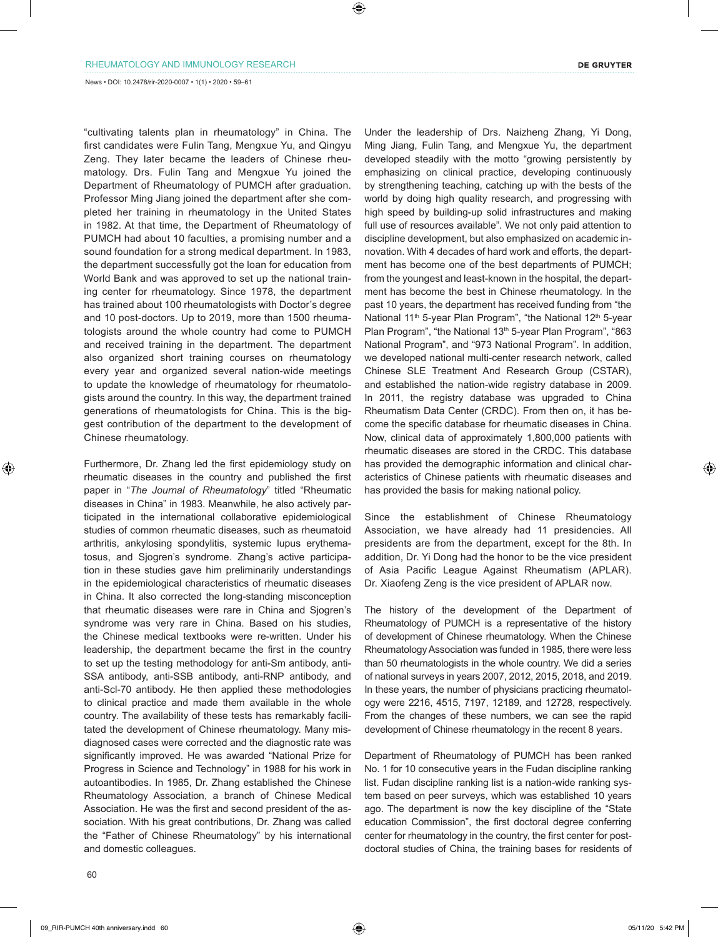News • DOI: 10.2478/rir-2020-0007 • 1(1) • 2020 • 59–61

"cultivating talents plan in rheumatology" in China. The first candidates were Fulin Tang, Mengxue Yu, and Qingyu Zeng. They later became the leaders of Chinese rheumatology. Drs. Fulin Tang and Mengxue Yu joined the Department of Rheumatology of PUMCH after graduation. Professor Ming Jiang joined the department after she completed her training in rheumatology in the United States in 1982. At that time, the Department of Rheumatology of PUMCH had about 10 faculties, a promising number and a sound foundation for a strong medical department. In 1983, the department successfully got the loan for education from World Bank and was approved to set up the national training center for rheumatology. Since 1978, the department has trained about 100 rheumatologists with Doctor's degree and 10 post-doctors. Up to 2019, more than 1500 rheumatologists around the whole country had come to PUMCH and received training in the department. The department also organized short training courses on rheumatology every year and organized several nation-wide meetings to update the knowledge of rheumatology for rheumatologists around the country. In this way, the department trained generations of rheumatologists for China. This is the biggest contribution of the department to the development of Chinese rheumatology.

Furthermore, Dr. Zhang led the first epidemiology study on rheumatic diseases in the country and published the first paper in "*The Journal of Rheumatology*" titled "Rheumatic diseases in China" in 1983. Meanwhile, he also actively participated in the international collaborative epidemiological studies of common rheumatic diseases, such as rheumatoid arthritis, ankylosing spondylitis, systemic lupus erythematosus, and Sjogren's syndrome. Zhang's active participation in these studies gave him preliminarily understandings in the epidemiological characteristics of rheumatic diseases in China. It also corrected the long-standing misconception that rheumatic diseases were rare in China and Sjogren's syndrome was very rare in China. Based on his studies, the Chinese medical textbooks were re-written. Under his leadership, the department became the first in the country to set up the testing methodology for anti-Sm antibody, anti-SSA antibody, anti-SSB antibody, anti-RNP antibody, and anti-Scl-70 antibody. He then applied these methodologies to clinical practice and made them available in the whole country. The availability of these tests has remarkably facilitated the development of Chinese rheumatology. Many misdiagnosed cases were corrected and the diagnostic rate was significantly improved. He was awarded "National Prize for Progress in Science and Technology" in 1988 for his work in autoantibodies. In 1985, Dr. Zhang established the Chinese Rheumatology Association, a branch of Chinese Medical Association. He was the first and second president of the association. With his great contributions, Dr. Zhang was called the "Father of Chinese Rheumatology" by his international and domestic colleagues.

Under the leadership of Drs. Naizheng Zhang, Yi Dong, Ming Jiang, Fulin Tang, and Mengxue Yu, the department developed steadily with the motto "growing persistently by emphasizing on clinical practice, developing continuously by strengthening teaching, catching up with the bests of the world by doing high quality research, and progressing with high speed by building-up solid infrastructures and making full use of resources available". We not only paid attention to discipline development, but also emphasized on academic innovation. With 4 decades of hard work and efforts, the department has become one of the best departments of PUMCH; from the youngest and least-known in the hospital, the department has become the best in Chinese rheumatology. In the past 10 years, the department has received funding from "the National 11<sup>th</sup> 5-year Plan Program", "the National 12<sup>th</sup> 5-year Plan Program", "the National 13<sup>th</sup> 5-year Plan Program", "863 National Program", and "973 National Program". In addition, we developed national multi-center research network, called Chinese SLE Treatment And Research Group (CSTAR), and established the nation-wide registry database in 2009. In 2011, the registry database was upgraded to China Rheumatism Data Center (CRDC). From then on, it has become the specific database for rheumatic diseases in China. Now, clinical data of approximately 1,800,000 patients with rheumatic diseases are stored in the CRDC. This database has provided the demographic information and clinical characteristics of Chinese patients with rheumatic diseases and has provided the basis for making national policy.

Since the establishment of Chinese Rheumatology Association, we have already had 11 presidencies. All presidents are from the department, except for the 8th. In addition, Dr. Yi Dong had the honor to be the vice president of Asia Pacific League Against Rheumatism (APLAR). Dr. Xiaofeng Zeng is the vice president of APLAR now.

The history of the development of the Department of Rheumatology of PUMCH is a representative of the history of development of Chinese rheumatology. When the Chinese Rheumatology Association was funded in 1985, there were less than 50 rheumatologists in the whole country. We did a series of national surveys in years 2007, 2012, 2015, 2018, and 2019. In these years, the number of physicians practicing rheumatology were 2216, 4515, 7197, 12189, and 12728, respectively. From the changes of these numbers, we can see the rapid development of Chinese rheumatology in the recent 8 years.

Department of Rheumatology of PUMCH has been ranked No. 1 for 10 consecutive years in the Fudan discipline ranking list. Fudan discipline ranking list is a nation-wide ranking system based on peer surveys, which was established 10 years ago. The department is now the key discipline of the "State education Commission", the first doctoral degree conferring center for rheumatology in the country, the first center for postdoctoral studies of China, the training bases for residents of